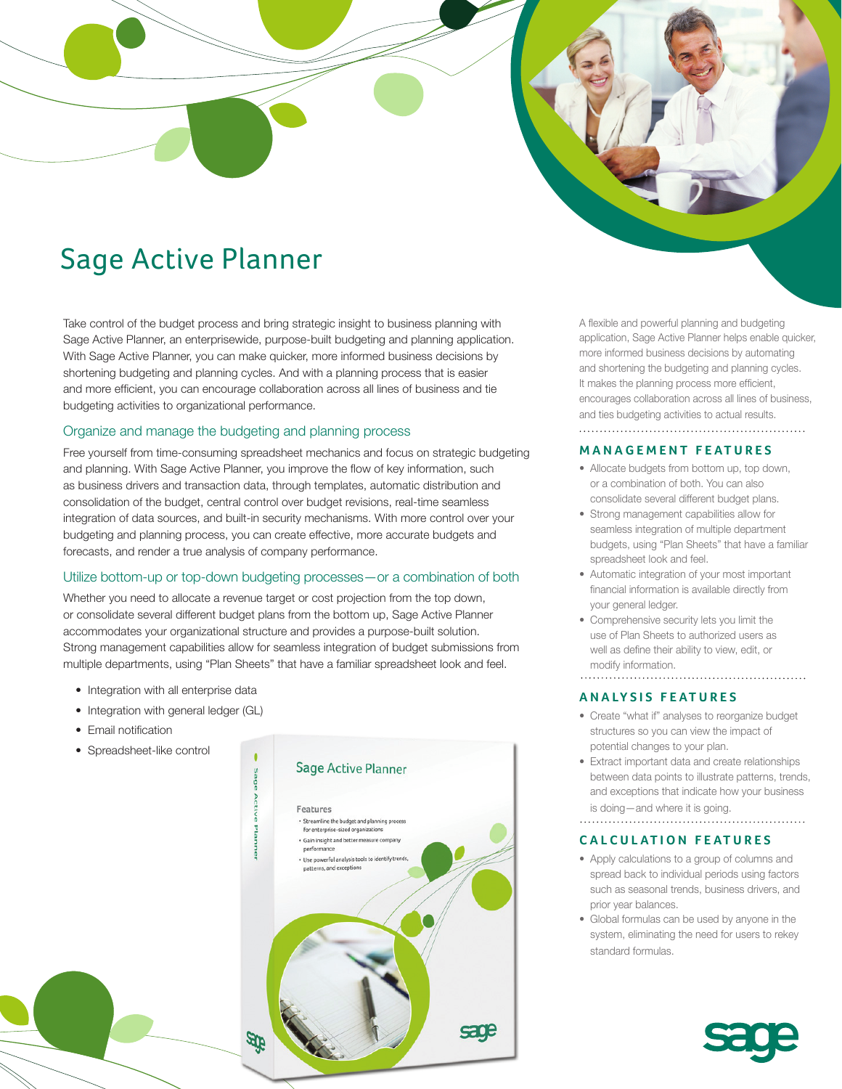# Sage Active Planner

Take control of the budget process and bring strategic insight to business planning with Sage Active Planner, an enterprisewide, purpose-built budgeting and planning application. With Sage Active Planner, you can make quicker, more informed business decisions by shortening budgeting and planning cycles. And with a planning process that is easier and more efficient, you can encourage collaboration across all lines of business and tie budgeting activities to organizational performance.

# Organize and manage the budgeting and planning process

Free yourself from time-consuming spreadsheet mechanics and focus on strategic budgeting and planning. With Sage Active Planner, you improve the flow of key information, such as business drivers and transaction data, through templates, automatic distribution and consolidation of the budget, central control over budget revisions, real-time seamless integration of data sources, and built-in security mechanisms. With more control over your budgeting and planning process, you can create effective, more accurate budgets and forecasts, and render a true analysis of company performance.

# Utilize bottom-up or top-down budgeting processes—or a combination of both

Whether you need to allocate a revenue target or cost projection from the top down, or consolidate several different budget plans from the bottom up, Sage Active Planner accommodates your organizational structure and provides a purpose-built solution. Strong management capabilities allow for seamless integration of budget submissions from multiple departments, using "Plan Sheets" that have a familiar spreadsheet look and feel.

- Integration with all enterprise data
- Integration with general ledger (GL)
- Email notification
- Spreadsheet-like control



A flexible and powerful planning and budgeting application, Sage Active Planner helps enable quicker, more informed business decisions by automating and shortening the budgeting and planning cycles. It makes the planning process more efficient, encourages collaboration across all lines of business, and ties budgeting activities to actual results. 

#### **MANAGEMENT FEATURES**

- Allocate budgets from bottom up, top down, or a combination of both. You can also consolidate several different budget plans.
- Strong management capabilities allow for seamless integration of multiple department budgets, using "Plan Sheets" that have a familiar spreadsheet look and feel.
- Automatic integration of your most important financial information is available directly from your general ledger.
- Comprehensive security lets you limit the use of Plan Sheets to authorized users as well as define their ability to view, edit, or modify information.

# 

# **ANALYSIS FEATURES**

- Create "what if" analyses to reorganize budget structures so you can view the impact of potential changes to your plan.
- Extract important data and create relationships between data points to illustrate patterns, trends, and exceptions that indicate how your business is doing—and where it is going.

# **CALCULATION FEATURES**

- Apply calculations to a group of columns and spread back to individual periods using factors such as seasonal trends, business drivers, and prior year balances.
- Global formulas can be used by anyone in the system, eliminating the need for users to rekey standard formulas.